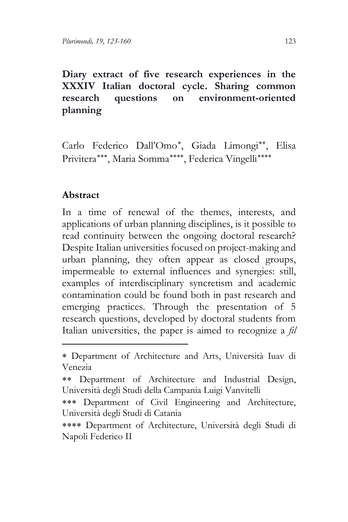**Diary extract of five research experiences in the XXXIV Italian doctoral cycle. Sharing common research questions on environment-oriented planning**

Carlo Federico Dall'Omo[∗](#page-0-0), Giada Limongi[∗∗](#page-0-1), Elisa Privitera[∗∗∗](#page-0-2), Maria Somma[∗∗∗∗](#page-0-3), Federica Vingelli[∗∗∗∗](#page-0-4)

# **Abstract**

In a time of renewal of the themes, interests, and applications of urban planning disciplines, is it possible to read continuity between the ongoing doctoral research? Despite Italian universities focused on project-making and urban planning, they often appear as closed groups, impermeable to external influences and synergies: still, examples of interdisciplinary syncretism and academic contamination could be found both in past research and emerging practices. Through the presentation of 5 research questions, developed by doctoral students from Italian universities, the paper is aimed to recognize a *fil* 

<span id="page-0-0"></span><sup>∗</sup> Department of Architecture and Arts, Università Iuav di Venezia

<span id="page-0-1"></span><sup>∗∗</sup> Department of Architecture and Industrial Design, Università degli Studi della Campania Luigi Vanvitelli

<span id="page-0-2"></span><sup>∗∗∗</sup> Department of Civil Engineering and Architecture, Università degli Studi di Catania

<span id="page-0-4"></span><span id="page-0-3"></span><sup>∗∗∗∗</sup> Department of Architecture, Università degli Studi di Napoli Federico II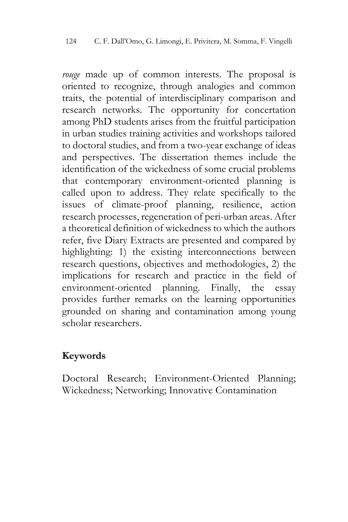*rouge* made up of common interests. The proposal is oriented to recognize, through analogies and common traits, the potential of interdisciplinary comparison and research networks. The opportunity for concertation among PhD students arises from the fruitful participation in urban studies training activities and workshops tailored to doctoral studies, and from a two-year exchange of ideas and perspectives. The dissertation themes include the identification of the wickedness of some crucial problems that contemporary environment-oriented planning is called upon to address. They relate specifically to the issues of climate-proof planning, resilience, action research processes, regeneration of peri-urban areas. After a theoretical definition of wickedness to which the authors refer, five Diary Extracts are presented and compared by highlighting: 1) the existing interconnections between research questions, objectives and methodologies, 2) the implications for research and practice in the field of environment-oriented planning. Finally, the essay provides further remarks on the learning opportunities grounded on sharing and contamination among young scholar researchers.

# **Keywords**

Doctoral Research; Environment-Oriented Planning; Wickedness; Networking; Innovative Contamination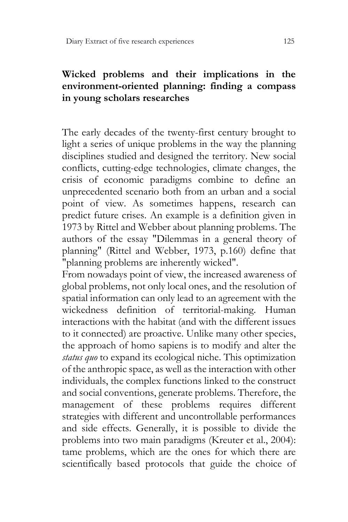# **Wicked problems and their implications in the environment-oriented planning: finding a compass in young scholars researches**

The early decades of the twenty-first century brought to light a series of unique problems in the way the planning disciplines studied and designed the territory. New social conflicts, cutting-edge technologies, climate changes, the crisis of economic paradigms combine to define an unprecedented scenario both from an urban and a social point of view. As sometimes happens, research can predict future crises. An example is a definition given in 1973 by Rittel and Webber about planning problems. The authors of the essay "Dilemmas in a general theory of planning" (Rittel and Webber, 1973, p.160) define that "planning problems are inherently wicked".

From nowadays point of view, the increased awareness of global problems, not only local ones, and the resolution of spatial information can only lead to an agreement with the wickedness definition of territorial-making. Human interactions with the habitat (and with the different issues to it connected) are proactive. Unlike many other species, the approach of homo sapiens is to modify and alter the *status quo* to expand its ecological niche. This optimization of the anthropic space, as well as the interaction with other individuals, the complex functions linked to the construct and social conventions, generate problems. Therefore, the management of these problems requires different strategies with different and uncontrollable performances and side effects. Generally, it is possible to divide the problems into two main paradigms (Kreuter et al., 2004): tame problems, which are the ones for which there are scientifically based protocols that guide the choice of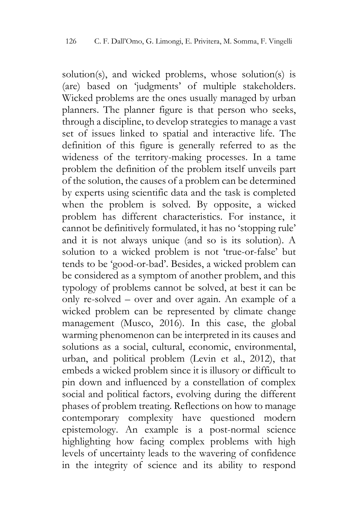solution(s), and wicked problems, whose solution(s) is (are) based on 'judgments' of multiple stakeholders. Wicked problems are the ones usually managed by urban planners. The planner figure is that person who seeks, through a discipline, to develop strategies to manage a vast set of issues linked to spatial and interactive life. The definition of this figure is generally referred to as the wideness of the territory-making processes. In a tame problem the definition of the problem itself unveils part of the solution, the causes of a problem can be determined by experts using scientific data and the task is completed when the problem is solved. By opposite, a wicked problem has different characteristics. For instance, it cannot be definitively formulated, it has no 'stopping rule' and it is not always unique (and so is its solution). A solution to a wicked problem is not 'true-or-false' but tends to be 'good-or-bad'. Besides, a wicked problem can be considered as a symptom of another problem, and this typology of problems cannot be solved, at best it can be only re-solved – over and over again. An example of a wicked problem can be represented by climate change management (Musco, 2016). In this case, the global warming phenomenon can be interpreted in its causes and solutions as a social, cultural, economic, environmental, urban, and political problem (Levin et al., 2012), that embeds a wicked problem since it is illusory or difficult to pin down and influenced by a constellation of complex social and political factors, evolving during the different phases of problem treating. Reflections on how to manage contemporary complexity have questioned modern epistemology. An example is a post-normal science highlighting how facing complex problems with high levels of uncertainty leads to the wavering of confidence in the integrity of science and its ability to respond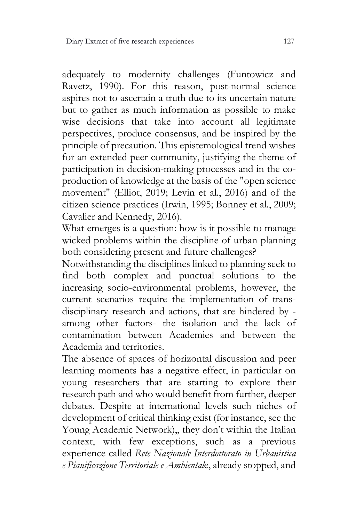adequately to modernity challenges (Funtowicz and Ravetz, 1990). For this reason, post-normal science aspires not to ascertain a truth due to its uncertain nature but to gather as much information as possible to make wise decisions that take into account all legitimate perspectives, produce consensus, and be inspired by the principle of precaution. This epistemological trend wishes for an extended peer community, justifying the theme of participation in decision-making processes and in the coproduction of knowledge at the basis of the "open science movement" (Elliot, 2019; Levin et al., 2016) and of the citizen science practices (Irwin, 1995; Bonney et al., 2009; Cavalier and Kennedy, 2016).

What emerges is a question: how is it possible to manage wicked problems within the discipline of urban planning both considering present and future challenges?

Notwithstanding the disciplines linked to planning seek to find both complex and punctual solutions to the increasing socio-environmental problems, however, the current scenarios require the implementation of transdisciplinary research and actions, that are hindered by among other factors- the isolation and the lack of contamination between Academies and between the Academia and territories.

The absence of spaces of horizontal discussion and peer learning moments has a negative effect, in particular on young researchers that are starting to explore their research path and who would benefit from further, deeper debates. Despite at international levels such niches of development of critical thinking exist (for instance, see the Young Academic Network),, they don't within the Italian context, with few exceptions, such as a previous experience called *Rete Nazionale Interdottorato in Urbanistica e Pianificazione Territoriale e Ambiental*e, already stopped, and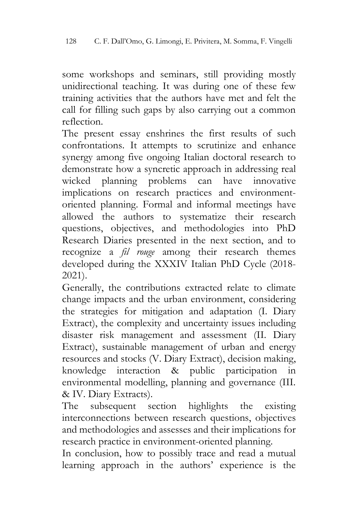some workshops and seminars, still providing mostly unidirectional teaching. It was during one of these few training activities that the authors have met and felt the call for filling such gaps by also carrying out a common reflection.

The present essay enshrines the first results of such confrontations. It attempts to scrutinize and enhance synergy among five ongoing Italian doctoral research to demonstrate how a syncretic approach in addressing real wicked planning problems can have innovative implications on research practices and environmentoriented planning. Formal and informal meetings have allowed the authors to systematize their research questions, objectives, and methodologies into PhD Research Diaries presented in the next section, and to recognize a *fil rouge* among their research themes developed during the XXXIV Italian PhD Cycle (2018- 2021).

Generally, the contributions extracted relate to climate change impacts and the urban environment, considering the strategies for mitigation and adaptation (I. Diary Extract), the complexity and uncertainty issues including disaster risk management and assessment (II. Diary Extract), sustainable management of urban and energy resources and stocks (V. Diary Extract), decision making, knowledge interaction & public participation in environmental modelling, planning and governance (III. & IV. Diary Extracts).

The subsequent section highlights the existing interconnections between research questions, objectives and methodologies and assesses and their implications for research practice in environment-oriented planning.

In conclusion, how to possibly trace and read a mutual learning approach in the authors' experience is the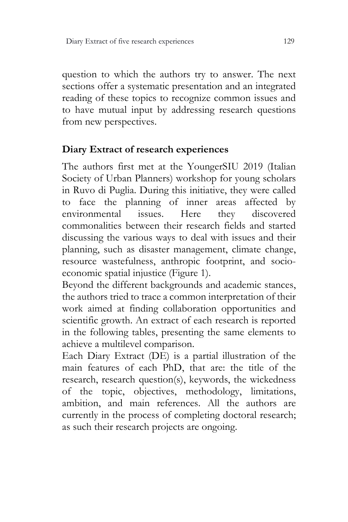question to which the authors try to answer. The next sections offer a systematic presentation and an integrated reading of these topics to recognize common issues and to have mutual input by addressing research questions from new perspectives.

# **Diary Extract of research experiences**

The authors first met at the YoungerSIU 2019 (Italian Society of Urban Planners) workshop for young scholars in Ruvo di Puglia. During this initiative, they were called to face the planning of inner areas affected by environmental issues. Here they discovered commonalities between their research fields and started discussing the various ways to deal with issues and their planning, such as disaster management, climate change, resource wastefulness, anthropic footprint, and socioeconomic spatial injustice (Figure 1).

Beyond the different backgrounds and academic stances, the authors tried to trace a common interpretation of their work aimed at finding collaboration opportunities and scientific growth. An extract of each research is reported in the following tables, presenting the same elements to achieve a multilevel comparison.

Each Diary Extract (DE) is a partial illustration of the main features of each PhD, that are: the title of the research, research question(s), keywords, the wickedness of the topic, objectives, methodology, limitations, ambition, and main references. All the authors are currently in the process of completing doctoral research; as such their research projects are ongoing.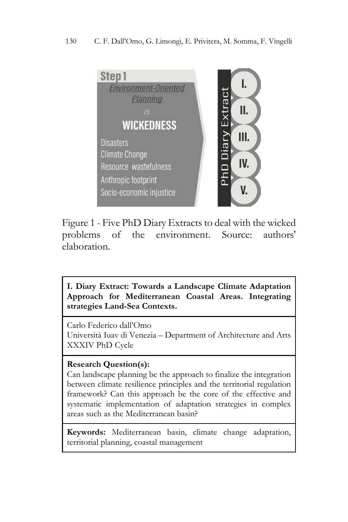

Figure 1 - Five PhD Diary Extracts to deal with the wicked problems of the environment. Source: authors' elaboration.

**I. Diary Extract: Towards a Landscape Climate Adaptation Approach for Mediterranean Coastal Areas. Integrating strategies Land-Sea Contexts.** 

Carlo Federico dall'Omo Università Iuav di Venezia – Department of Architecture and Arts XXXIV PhD Cycle

# **Research Question(s):**

Can landscape planning be the approach to finalize the integration between climate resilience principles and the territorial regulation framework? Can this approach be the core of the effective and systematic implementation of adaptation strategies in complex areas such as the Mediterranean basin?

**Keywords:** Mediterranean basin, climate change adaptation, territorial planning, coastal management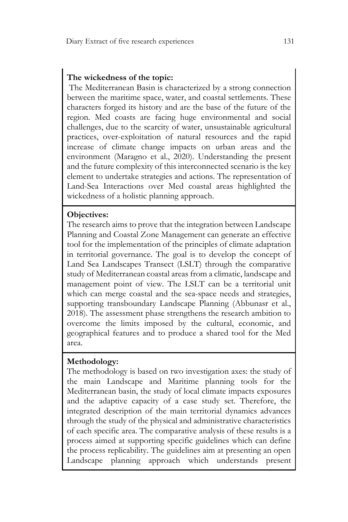### **The wickedness of the topic:**

The Mediterranean Basin is characterized by a strong connection between the maritime space, water, and coastal settlements. These characters forged its history and are the base of the future of the region. Med coasts are facing huge environmental and social challenges, due to the scarcity of water, unsustainable agricultural practices, over-exploitation of natural resources and the rapid increase of climate change impacts on urban areas and the environment (Maragno et al., 2020). Understanding the present and the future complexity of this interconnected scenario is the key element to undertake strategies and actions. The representation of Land-Sea Interactions over Med coastal areas highlighted the wickedness of a holistic planning approach.

### **Objectives:**

The research aims to prove that the integration between Landscape Planning and Coastal Zone Management can generate an effective tool for the implementation of the principles of climate adaptation in territorial governance. The goal is to develop the concept of Land Sea Landscapes Transect (LSLT) through the comparative study of Mediterranean coastal areas from a climatic, landscape and management point of view. The LSLT can be a territorial unit which can merge coastal and the sea-space needs and strategies, supporting transboundary Landscape Planning (Abbunasr et al., 2018). The assessment phase strengthens the research ambition to overcome the limits imposed by the cultural, economic, and geographical features and to produce a shared tool for the Med area.

# **Methodology:**

The methodology is based on two investigation axes: the study of the main Landscape and Maritime planning tools for the Mediterranean basin, the study of local climate impacts exposures and the adaptive capacity of a case study set. Therefore, the integrated description of the main territorial dynamics advances through the study of the physical and administrative characteristics of each specific area. The comparative analysis of these results is a process aimed at supporting specific guidelines which can define the process replicability. The guidelines aim at presenting an open Landscape planning approach which understands present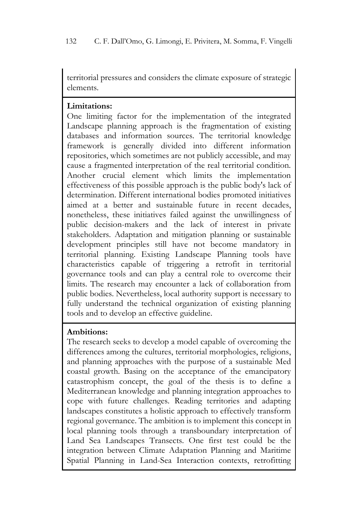territorial pressures and considers the climate exposure of strategic elements.

### **Limitations:**

One limiting factor for the implementation of the integrated Landscape planning approach is the fragmentation of existing databases and information sources. The territorial knowledge framework is generally divided into different information repositories, which sometimes are not publicly accessible, and may cause a fragmented interpretation of the real territorial condition. Another crucial element which limits the implementation effectiveness of this possible approach is the public body's lack of determination. Different international bodies promoted initiatives aimed at a better and sustainable future in recent decades, nonetheless, these initiatives failed against the unwillingness of public decision-makers and the lack of interest in private stakeholders. Adaptation and mitigation planning or sustainable development principles still have not become mandatory in territorial planning. Existing Landscape Planning tools have characteristics capable of triggering a retrofit in territorial governance tools and can play a central role to overcome their limits. The research may encounter a lack of collaboration from public bodies. Nevertheless, local authority support is necessary to fully understand the technical organization of existing planning tools and to develop an effective guideline.

# **Ambitions:**

The research seeks to develop a model capable of overcoming the differences among the cultures, territorial morphologies, religions, and planning approaches with the purpose of a sustainable Med coastal growth. Basing on the acceptance of the emancipatory catastrophism concept, the goal of the thesis is to define a Mediterranean knowledge and planning integration approaches to cope with future challenges. Reading territories and adapting landscapes constitutes a holistic approach to effectively transform regional governance. The ambition is to implement this concept in local planning tools through a transboundary interpretation of Land Sea Landscapes Transects. One first test could be the integration between Climate Adaptation Planning and Maritime Spatial Planning in Land-Sea Interaction contexts, retrofitting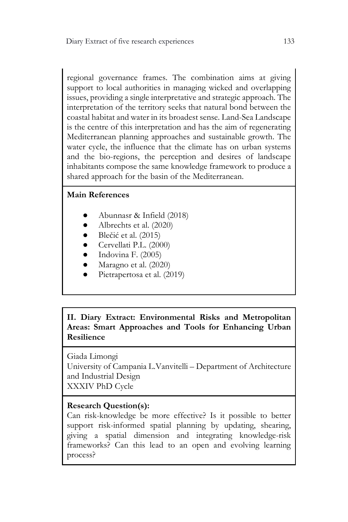regional governance frames. The combination aims at giving support to local authorities in managing wicked and overlapping issues, providing a single interpretative and strategic approach. The interpretation of the territory seeks that natural bond between the coastal habitat and water in its broadest sense. Land-Sea Landscape is the centre of this interpretation and has the aim of regenerating Mediterranean planning approaches and sustainable growth. The water cycle, the influence that the climate has on urban systems and the bio-regions, the perception and desires of landscape inhabitants compose the same knowledge framework to produce a shared approach for the basin of the Mediterranean.

# **Main References**

- Abunnasr & Infield (2018)
- Albrechts et al. (2020)
- Blečić et al. (2015)
- Cervellati P.L. (2000)
- Indovina F. (2005)
- Maragno et al. (2020)
- Pietrapertosa et al. (2019)

**II. Diary Extract: Environmental Risks and Metropolitan Areas: Smart Approaches and Tools for Enhancing Urban Resilience**

Giada Limongi University of Campania L.Vanvitelli – Department of Architecture and Industrial Design XXXIV PhD Cycle

# **Research Question(s):**

Can risk-knowledge be more effective? Is it possible to better support risk-informed spatial planning by updating, shearing, giving a spatial dimension and integrating knowledge-risk frameworks? Can this lead to an open and evolving learning process?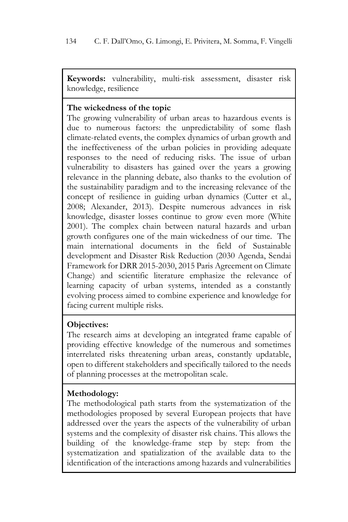**Keywords:** vulnerability, multi-risk assessment, disaster risk knowledge, resilience

### **The wickedness of the topic**

The growing vulnerability of urban areas to hazardous events is due to numerous factors: the unpredictability of some flash climate-related events, the complex dynamics of urban growth and the ineffectiveness of the urban policies in providing adequate responses to the need of reducing risks. The issue of urban vulnerability to disasters has gained over the years a growing relevance in the planning debate, also thanks to the evolution of the sustainability paradigm and to the increasing relevance of the concept of resilience in guiding urban dynamics (Cutter et al., 2008; Alexander, 2013). Despite numerous advances in risk knowledge, disaster losses continue to grow even more (White 2001). The complex chain between natural hazards and urban growth configures one of the main wickedness of our time. The main international documents in the field of Sustainable development and Disaster Risk Reduction (2030 Agenda, Sendai Framework for DRR 2015-2030, 2015 Paris Agreement on Climate Change) and scientific literature emphasize the relevance of learning capacity of urban systems, intended as a constantly evolving process aimed to combine experience and knowledge for facing current multiple risks.

#### **Objectives:**

The research aims at developing an integrated frame capable of providing effective knowledge of the numerous and sometimes interrelated risks threatening urban areas, constantly updatable, open to different stakeholders and specifically tailored to the needs of planning processes at the metropolitan scale.

# **Methodology:**

The methodological path starts from the systematization of the methodologies proposed by several European projects that have addressed over the years the aspects of the vulnerability of urban systems and the complexity of disaster risk chains. This allows the building of the knowledge-frame step by step: from the systematization and spatialization of the available data to the identification of the interactions among hazards and vulnerabilities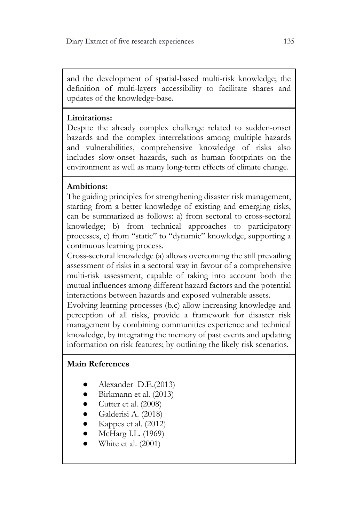and the development of spatial-based multi-risk knowledge; the definition of multi-layers accessibility to facilitate shares and updates of the knowledge-base.

### **Limitations:**

Despite the already complex challenge related to sudden-onset hazards and the complex interrelations among multiple hazards and vulnerabilities, comprehensive knowledge of risks also includes slow-onset hazards, such as human footprints on the environment as well as many long-term effects of climate change.

# **Ambitions:**

The guiding principles for strengthening disaster risk management, starting from a better knowledge of existing and emerging risks, can be summarized as follows: a) from sectoral to cross-sectoral knowledge; b) from technical approaches to participatory processes, c) from "static" to "dynamic" knowledge, supporting a continuous learning process.

Cross-sectoral knowledge (a) allows overcoming the still prevailing assessment of risks in a sectoral way in favour of a comprehensive multi-risk assessment, capable of taking into account both the mutual influences among different hazard factors and the potential interactions between hazards and exposed vulnerable assets.

Evolving learning processes (b,c) allow increasing knowledge and perception of all risks, provide a framework for disaster risk management by combining communities experience and technical knowledge, by integrating the memory of past events and updating information on risk features; by outlining the likely risk scenarios.

# **Main References**

- Alexander D.E.(2013)
- Birkmann et al. (2013)
- Cutter et al. (2008)
- Galderisi A. (2018)
- Kappes et al. (2012)
- McHarg I.L. (1969)
- White et al. (2001)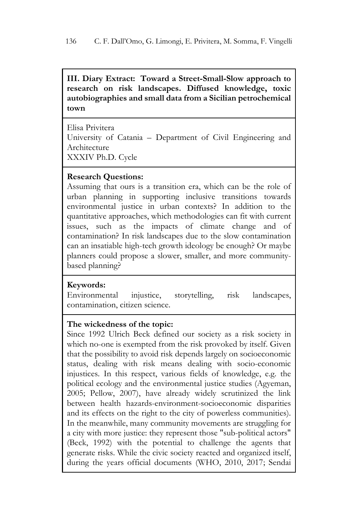**III. Diary Extract: Toward a Street-Small-Slow approach to research on risk landscapes. Diffused knowledge, toxic autobiographies and small data from a Sicilian petrochemical town**

Elisa Privitera University of Catania – Department of Civil Engineering and Architecture XXXIV Ph.D. Cycle

# **Research Questions:**

Assuming that ours is a transition era, which can be the role of urban planning in supporting inclusive transitions towards environmental justice in urban contexts? In addition to the quantitative approaches, which methodologies can fit with current issues, such as the impacts of climate change and of contamination? In risk landscapes due to the slow contamination can an insatiable high-tech growth ideology be enough? Or maybe planners could propose a slower, smaller, and more communitybased planning?

#### **Keywords:**

Environmental injustice, storytelling, risk landscapes, contamination, citizen science.

#### **The wickedness of the topic:**

Since 1992 Ulrich Beck defined our society as a risk society in which no-one is exempted from the risk provoked by itself. Given that the possibility to avoid risk depends largely on socioeconomic status, dealing with risk means dealing with socio-economic injustices. In this respect, various fields of knowledge, e.g. the political ecology and the environmental justice studies (Agyeman, 2005; Pellow, 2007), have already widely scrutinized the link between health hazards-environment-socioeconomic disparities and its effects on the right to the city of powerless communities). In the meanwhile, many community movements are struggling for a city with more justice: they represent those "sub-political actors" (Beck, 1992) with the potential to challenge the agents that generate risks. While the civic society reacted and organized itself, during the years official documents (WHO, 2010, 2017; Sendai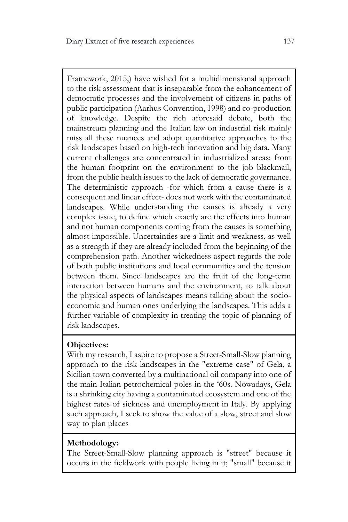Framework, 2015;) have wished for a multidimensional approach to the risk assessment that is inseparable from the enhancement of democratic processes and the involvement of citizens in paths of public participation (Aarhus Convention, 1998) and co-production of knowledge. Despite the rich aforesaid debate, both the mainstream planning and the Italian law on industrial risk mainly miss all these nuances and adopt quantitative approaches to the risk landscapes based on high-tech innovation and big data. Many current challenges are concentrated in industrialized areas: from the human footprint on the environment to the job blackmail, from the public health issues to the lack of democratic governance. The deterministic approach -for which from a cause there is a consequent and linear effect- does not work with the contaminated landscapes. While understanding the causes is already a very complex issue, to define which exactly are the effects into human and not human components coming from the causes is something almost impossible. Uncertainties are a limit and weakness, as well as a strength if they are already included from the beginning of the comprehension path. Another wickedness aspect regards the role of both public institutions and local communities and the tension between them. Since landscapes are the fruit of the long-term interaction between humans and the environment, to talk about the physical aspects of landscapes means talking about the socioeconomic and human ones underlying the landscapes. This adds a further variable of complexity in treating the topic of planning of risk landscapes.

# **Objectives:**

With my research, I aspire to propose a Street-Small-Slow planning approach to the risk landscapes in the "extreme case" of Gela, a Sicilian town converted by a multinational oil company into one of the main Italian petrochemical poles in the '60s. Nowadays, Gela is a shrinking city having a contaminated ecosystem and one of the highest rates of sickness and unemployment in Italy. By applying such approach, I seek to show the value of a slow, street and slow way to plan places

# **Methodology:**

The Street-Small-Slow planning approach is "street" because it occurs in the fieldwork with people living in it; "small" because it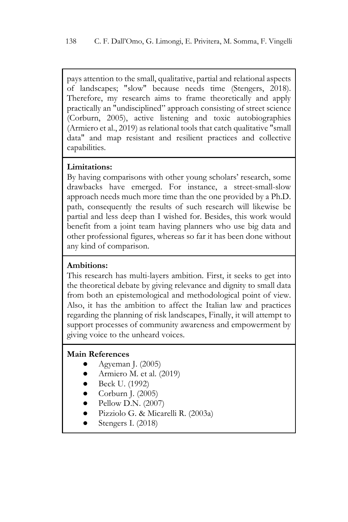pays attention to the small, qualitative, partial and relational aspects of landscapes; "slow" because needs time (Stengers, 2018). Therefore, my research aims to frame theoretically and apply practically an "undisciplined" approach consisting of street science (Corburn, 2005), active listening and toxic autobiographies (Armiero et al., 2019) as relational tools that catch qualitative "small data" and map resistant and resilient practices and collective capabilities.

#### **Limitations:**

By having comparisons with other young scholars' research, some drawbacks have emerged. For instance, a street-small-slow approach needs much more time than the one provided by a Ph.D. path, consequently the results of such research will likewise be partial and less deep than I wished for. Besides, this work would benefit from a joint team having planners who use big data and other professional figures, whereas so far it has been done without any kind of comparison.

### **Ambitions:**

This research has multi-layers ambition. First, it seeks to get into the theoretical debate by giving relevance and dignity to small data from both an epistemological and methodological point of view. Also, it has the ambition to affect the Italian law and practices regarding the planning of risk landscapes, Finally, it will attempt to support processes of community awareness and empowerment by giving voice to the unheard voices.

# **Main References**

- Agyeman J. (2005)
- Armiero M. et al. (2019)
- Beck U. (1992)
- Corburn J. (2005)
- Pellow D.N. (2007)
- Pizziolo G. & Micarelli R. (2003a)
- Stengers I. (2018)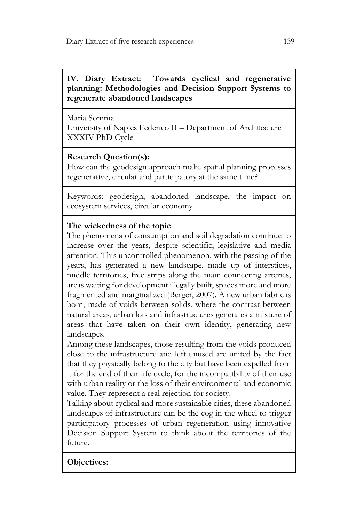**IV. Diary Extract: Towards cyclical and regenerative planning: Methodologies and Decision Support Systems to regenerate abandoned landscapes**

Maria Somma University of Naples Federico II – Department of Architecture XXXIV PhD Cycle

# **Research Question(s):**

How can the geodesign approach make spatial planning processes regenerative, circular and participatory at the same time?

Keywords: geodesign, abandoned landscape, the impact on ecosystem services, circular economy

# **The wickedness of the topic**

The phenomena of consumption and soil degradation continue to increase over the years, despite scientific, legislative and media attention. This uncontrolled phenomenon, with the passing of the years, has generated a new landscape, made up of interstices, middle territories, free strips along the main connecting arteries, areas waiting for development illegally built, spaces more and more fragmented and marginalized (Berger, 2007). A new urban fabric is born, made of voids between solids, where the contrast between natural areas, urban lots and infrastructures generates a mixture of areas that have taken on their own identity, generating new landscapes.

Among these landscapes, those resulting from the voids produced close to the infrastructure and left unused are united by the fact that they physically belong to the city but have been expelled from it for the end of their life cycle, for the incompatibility of their use with urban reality or the loss of their environmental and economic value. They represent a real rejection for society.

Talking about cyclical and more sustainable cities, these abandoned landscapes of infrastructure can be the cog in the wheel to trigger participatory processes of urban regeneration using innovative Decision Support System to think about the territories of the future.

**Objectives:**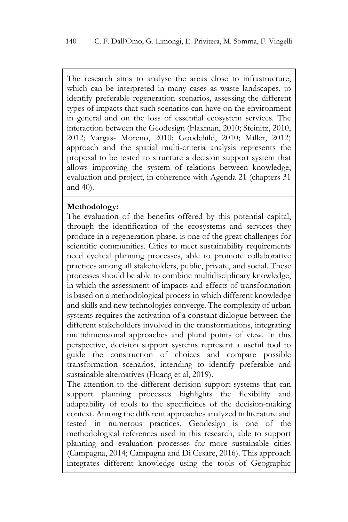The research aims to analyse the areas close to infrastructure, which can be interpreted in many cases as waste landscapes, to identify preferable regeneration scenarios, assessing the different types of impacts that such scenarios can have on the environment in general and on the loss of essential ecosystem services. The interaction between the Geodesign (Flaxman, 2010; Steinitz, 2010, 2012; Vargas- Moreno, 2010; Goodchild, 2010; Miller, 2012) approach and the spatial multi-criteria analysis represents the proposal to be tested to structure a decision support system that allows improving the system of relations between knowledge, evaluation and project, in coherence with Agenda 21 (chapters 31 and 40).

#### **Methodology:**

The evaluation of the benefits offered by this potential capital, through the identification of the ecosystems and services they produce in a regeneration phase, is one of the great challenges for scientific communities. Cities to meet sustainability requirements need cyclical planning processes, able to promote collaborative practices among all stakeholders, public, private, and social. These processes should be able to combine multidisciplinary knowledge, in which the assessment of impacts and effects of transformation is based on a methodological process in which different knowledge and skills and new technologies converge. The complexity of urban systems requires the activation of a constant dialogue between the different stakeholders involved in the transformations, integrating multidimensional approaches and plural points of view. In this perspective, decision support systems represent a useful tool to guide the construction of choices and compare possible transformation scenarios, intending to identify preferable and sustainable alternatives (Huang et al, 2019).

The attention to the different decision support systems that can support planning processes highlights the flexibility and adaptability of tools to the specificities of the decision-making context. Among the different approaches analyzed in literature and tested in numerous practices, Geodesign is one of the methodological references used in this research, able to support planning and evaluation processes for more sustainable cities (Campagna, 2014; Campagna and Di Cesare, 2016). This approach integrates different knowledge using the tools of Geographic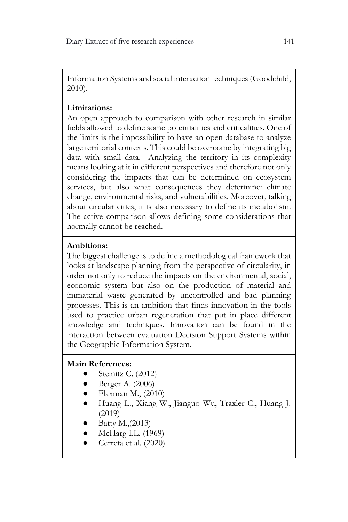Information Systems and social interaction techniques (Goodchild, 2010).

# **Limitations:**

An open approach to comparison with other research in similar fields allowed to define some potentialities and criticalities. One of the limits is the impossibility to have an open database to analyze large territorial contexts. This could be overcome by integrating big data with small data. Analyzing the territory in its complexity means looking at it in different perspectives and therefore not only considering the impacts that can be determined on ecosystem services, but also what consequences they determine: climate change, environmental risks, and vulnerabilities. Moreover, talking about circular cities, it is also necessary to define its metabolism. The active comparison allows defining some considerations that normally cannot be reached.

# **Ambitions:**

The biggest challenge is to define a methodological framework that looks at landscape planning from the perspective of circularity, in order not only to reduce the impacts on the environmental, social, economic system but also on the production of material and immaterial waste generated by uncontrolled and bad planning processes. This is an ambition that finds innovation in the tools used to practice urban regeneration that put in place different knowledge and techniques. Innovation can be found in the interaction between evaluation Decision Support Systems within the Geographic Information System.

# **Main References:**

- $\bullet$  Steinitz C. (2012)
- Berger A. (2006)
- $\bullet$  Flaxman M., (2010)
- Huang L., Xiang W., Jianguo Wu, Traxler C., Huang J. (2019)
- Batty M., (2013)
- McHarg I.L. (1969)
- Cerreta et al. (2020)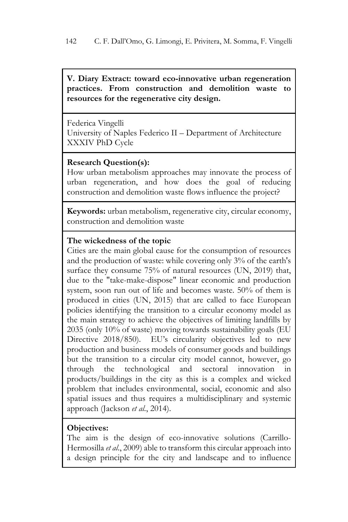**V. Diary Extract: toward eco-innovative urban regeneration practices. From construction and demolition waste to resources for the regenerative city design.**

Federica Vingelli University of Naples Federico II – Department of Architecture XXXIV PhD Cycle

#### **Research Question(s):**

How urban metabolism approaches may innovate the process of urban regeneration, and how does the goal of reducing construction and demolition waste flows influence the project?

**Keywords:** urban metabolism, regenerative city, circular economy, construction and demolition waste

### **The wickedness of the topic**

Cities are the main global cause for the consumption of resources and the production of waste: while covering only 3% of the earth's surface they consume 75% of natural resources (UN, 2019) that, due to the "take-make-dispose" linear economic and production system, soon run out of life and becomes waste. 50% of them is produced in cities (UN, 2015) that are called to face European policies identifying the transition to a circular economy model as the main strategy to achieve the objectives of limiting landfills by 2035 (only 10% of waste) moving towards sustainability goals (EU Directive 2018/850). EU's circularity objectives led to new production and business models of consumer goods and buildings but the transition to a circular city model cannot, however, go through the technological and sectoral innovation in products/buildings in the city as this is a complex and wicked problem that includes environmental, social, economic and also spatial issues and thus requires a multidisciplinary and systemic approach (Jackson *et al*., 2014).

#### **Objectives:**

The aim is the design of eco-innovative solutions (Carrillo-Hermosilla *et al*., 2009) able to transform this circular approach into a design principle for the city and landscape and to influence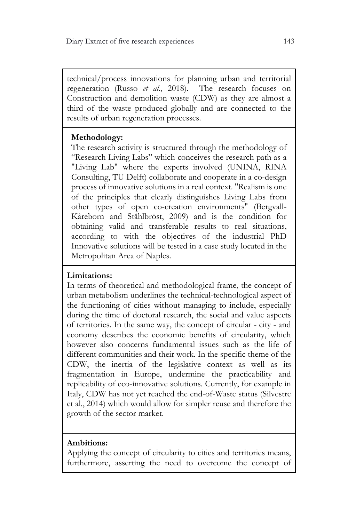technical/process innovations for planning urban and territorial regeneration (Russo *et al.*, 2018). The research focuses on Construction and demolition waste (CDW) as they are almost a third of the waste produced globally and are connected to the results of urban regeneration processes.

# **Methodology:**

The research activity is structured through the methodology of "Research Living Labs" which conceives the research path as a "Living Lab" where the experts involved (UNINA, RINA Consulting, TU Delft) collaborate and cooperate in a co-design process of innovative solutions in a real context. "Realism is one of the principles that clearly distinguishes Living Labs from other types of open co-creation environments" (Bergvall-Kåreborn and Ståhlbröst, 2009) and is the condition for obtaining valid and transferable results to real situations, according to with the objectives of the industrial PhD Innovative solutions will be tested in a case study located in the Metropolitan Area of Naples.

# **Limitations:**

In terms of theoretical and methodological frame, the concept of urban metabolism underlines the technical-technological aspect of the functioning of cities without managing to include, especially during the time of doctoral research, the social and value aspects of territories. In the same way, the concept of circular - city - and economy describes the economic benefits of circularity, which however also concerns fundamental issues such as the life of different communities and their work. In the specific theme of the CDW, the inertia of the legislative context as well as its fragmentation in Europe, undermine the practicability and replicability of eco-innovative solutions. Currently, for example in Italy, CDW has not yet reached the end-of-Waste status (Silvestre et al., 2014) which would allow for simpler reuse and therefore the growth of the sector market.

# **Ambitions:**

Applying the concept of circularity to cities and territories means, furthermore, asserting the need to overcome the concept of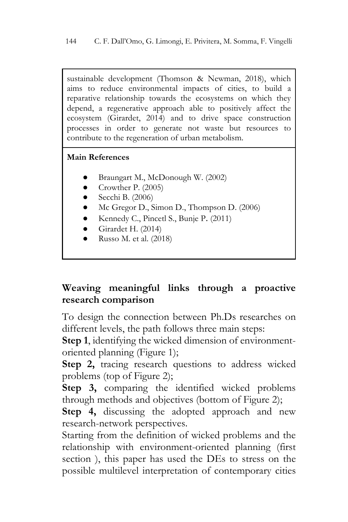sustainable development (Thomson & Newman, 2018), which aims to reduce environmental impacts of cities, to build a reparative relationship towards the ecosystems on which they depend, a regenerative approach able to positively affect the ecosystem (Girardet, 2014) and to drive space construction processes in order to generate not waste but resources to contribute to the regeneration of urban metabolism.

# **Main References**

- Braungart M., McDonough W. (2002)
- Crowther P. (2005)
- $\bullet$  Secchi B. (2006)
- Mc Gregor D., Simon D., Thompson D. (2006)
- Kennedy C., Pincetl S., Bunje P. (2011)
- Girardet H. (2014)
- Russo M. et al.  $(2018)$

# **Weaving meaningful links through a proactive research comparison**

To design the connection between Ph.Ds researches on different levels, the path follows three main steps:

**Step 1**, identifying the wicked dimension of environmentoriented planning (Figure 1);

**Step 2,** tracing research questions to address wicked problems (top of Figure 2);

**Step 3,** comparing the identified wicked problems through methods and objectives (bottom of Figure 2);

**Step 4,** discussing the adopted approach and new research-network perspectives.

Starting from the definition of wicked problems and the relationship with environment-oriented planning (first section ), this paper has used the DEs to stress on the possible multilevel interpretation of contemporary cities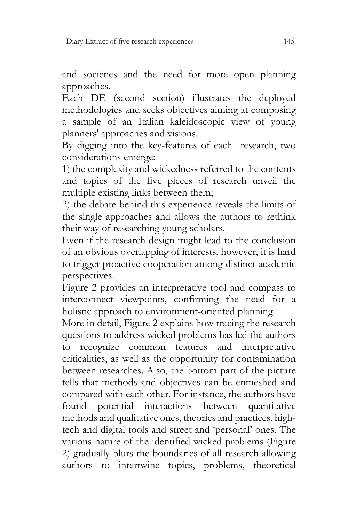and societies and the need for more open planning approaches.

Each DE (second section) illustrates the deployed methodologies and seeks objectives aiming at composing a sample of an Italian kaleidoscopic view of young planners' approaches and visions.

By digging into the key-features of each research, two considerations emerge:

1) the complexity and wickedness referred to the contents and topics of the five pieces of research unveil the multiple existing links between them;

2) the debate behind this experience reveals the limits of the single approaches and allows the authors to rethink their way of researching young scholars.

Even if the research design might lead to the conclusion of an obvious overlapping of interests, however, it is hard to trigger proactive cooperation among distinct academic perspectives.

Figure 2 provides an interpretative tool and compass to interconnect viewpoints, confirming the need for a holistic approach to environment-oriented planning.

More in detail, Figure 2 explains how tracing the research questions to address wicked problems has led the authors to recognize common features and interpretative criticalities, as well as the opportunity for contamination between researches. Also, the bottom part of the picture tells that methods and objectives can be enmeshed and compared with each other. For instance, the authors have found potential interactions between quantitative methods and qualitative ones, theories and practices, hightech and digital tools and street and 'personal' ones. The various nature of the identified wicked problems (Figure 2) gradually blurs the boundaries of all research allowing authors to intertwine topics, problems, theoretical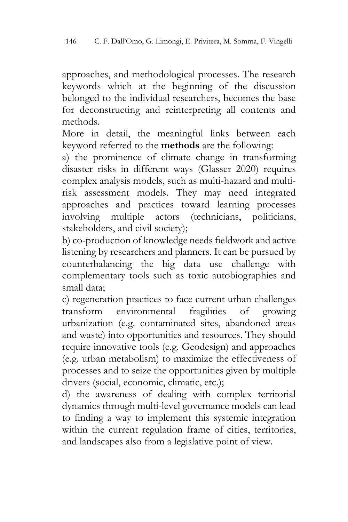approaches, and methodological processes. The research keywords which at the beginning of the discussion belonged to the individual researchers, becomes the base for deconstructing and reinterpreting all contents and methods.

More in detail, the meaningful links between each keyword referred to the **methods** are the following:

a) the prominence of climate change in transforming disaster risks in different ways (Glasser 2020) requires complex analysis models, such as multi-hazard and multirisk assessment models. They may need integrated approaches and practices toward learning processes involving multiple actors (technicians, politicians, stakeholders, and civil society);

b) co-production of knowledge needs fieldwork and active listening by researchers and planners. It can be pursued by counterbalancing the big data use challenge with complementary tools such as toxic autobiographies and small data;

c) regeneration practices to face current urban challenges transform environmental fragilities of growing urbanization (e.g. contaminated sites, abandoned areas and waste) into opportunities and resources. They should require innovative tools (e.g. Geodesign) and approaches (e.g. urban metabolism) to maximize the effectiveness of processes and to seize the opportunities given by multiple drivers (social, economic, climatic, etc.);

d) the awareness of dealing with complex territorial dynamics through multi-level governance models can lead to finding a way to implement this systemic integration within the current regulation frame of cities, territories, and landscapes also from a legislative point of view.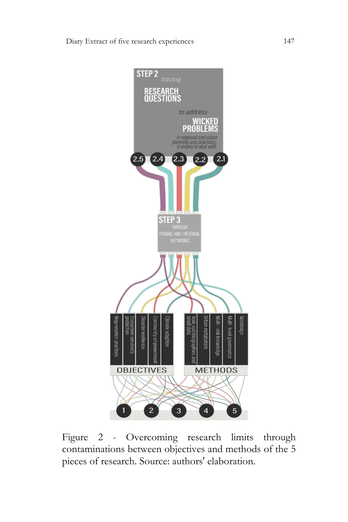

Figure 2 - Overcoming research limits through contaminations between objectives and methods of the 5 pieces of research. Source: authors' elaboration.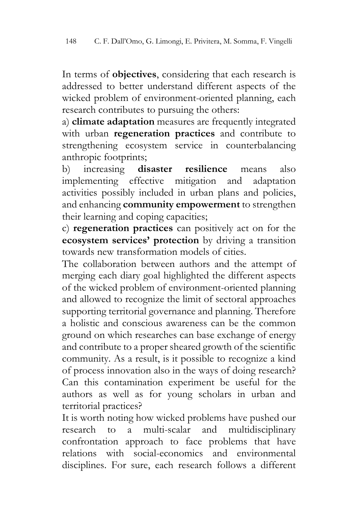In terms of **objectives**, considering that each research is addressed to better understand different aspects of the wicked problem of environment-oriented planning, each research contributes to pursuing the others:

a) **climate adaptation** measures are frequently integrated with urban **regeneration practices** and contribute to strengthening ecosystem service in counterbalancing anthropic footprints;

b) increasing **disaster resilience** means also implementing effective mitigation and adaptation activities possibly included in urban plans and policies, and enhancing **community empowerment** to strengthen their learning and coping capacities;

c) **regeneration practices** can positively act on for the **ecosystem services' protection** by driving a transition towards new transformation models of cities.

The collaboration between authors and the attempt of merging each diary goal highlighted the different aspects of the wicked problem of environment-oriented planning and allowed to recognize the limit of sectoral approaches supporting territorial governance and planning. Therefore a holistic and conscious awareness can be the common ground on which researches can base exchange of energy and contribute to a proper sheared growth of the scientific community. As a result, is it possible to recognize a kind of process innovation also in the ways of doing research? Can this contamination experiment be useful for the authors as well as for young scholars in urban and territorial practices?

It is worth noting how wicked problems have pushed our research to a multi-scalar and multidisciplinary confrontation approach to face problems that have relations with social-economics and environmental disciplines. For sure, each research follows a different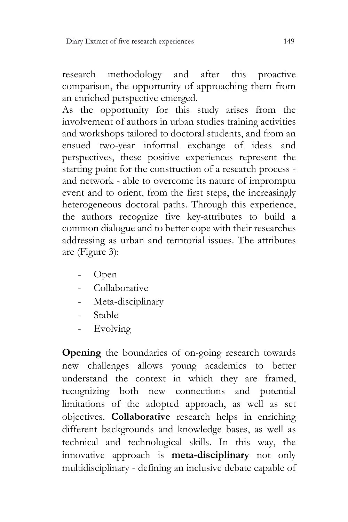research methodology and after this proactive comparison, the opportunity of approaching them from an enriched perspective emerged.

As the opportunity for this study arises from the involvement of authors in urban studies training activities and workshops tailored to doctoral students, and from an ensued two-year informal exchange of ideas and perspectives, these positive experiences represent the starting point for the construction of a research process and network - able to overcome its nature of impromptu event and to orient, from the first steps, the increasingly heterogeneous doctoral paths. Through this experience, the authors recognize five key-attributes to build a common dialogue and to better cope with their researches addressing as urban and territorial issues. The attributes are (Figure 3):

- Open
- Collaborative
- Meta-disciplinary
- Stable
- Evolving

**Opening** the boundaries of on-going research towards new challenges allows young academics to better understand the context in which they are framed, recognizing both new connections and potential limitations of the adopted approach, as well as set objectives. **Collaborative** research helps in enriching different backgrounds and knowledge bases, as well as technical and technological skills. In this way, the innovative approach is **meta-disciplinary** not only multidisciplinary - defining an inclusive debate capable of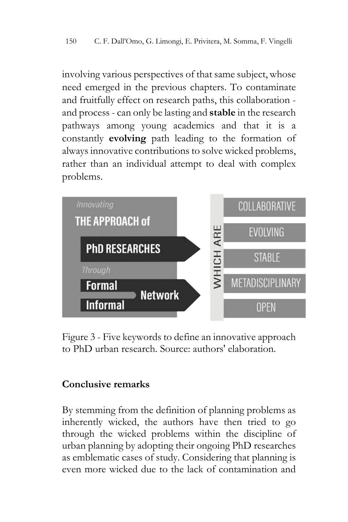involving various perspectives of that same subject, whose need emerged in the previous chapters. To contaminate and fruitfully effect on research paths, this collaboration and process - can only be lasting and **stable** in the research pathways among young academics and that it is a constantly **evolving** path leading to the formation of always innovative contributions to solve wicked problems, rather than an individual attempt to deal with complex problems.



Figure 3 - Five keywords to define an innovative approach to PhD urban research. Source: authors' elaboration.

# **Conclusive remarks**

By stemming from the definition of planning problems as inherently wicked, the authors have then tried to go through the wicked problems within the discipline of urban planning by adopting their ongoing PhD researches as emblematic cases of study. Considering that planning is even more wicked due to the lack of contamination and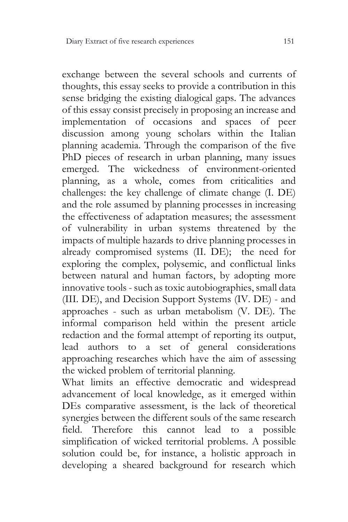exchange between the several schools and currents of thoughts, this essay seeks to provide a contribution in this sense bridging the existing dialogical gaps. The advances of this essay consist precisely in proposing an increase and implementation of occasions and spaces of peer discussion among young scholars within the Italian planning academia. Through the comparison of the five PhD pieces of research in urban planning, many issues emerged. The wickedness of environment-oriented planning, as a whole, comes from criticalities and challenges: the key challenge of climate change (I. DE) and the role assumed by planning processes in increasing the effectiveness of adaptation measures; the assessment of vulnerability in urban systems threatened by the impacts of multiple hazards to drive planning processes in already compromised systems (II. DE); the need for exploring the complex, polysemic, and conflictual links between natural and human factors, by adopting more innovative tools - such as toxic autobiographies, small data (III. DE), and Decision Support Systems (IV. DE) - and approaches - such as urban metabolism (V. DE). The informal comparison held within the present article redaction and the formal attempt of reporting its output, lead authors to a set of general considerations approaching researches which have the aim of assessing the wicked problem of territorial planning.

What limits an effective democratic and widespread advancement of local knowledge, as it emerged within DEs comparative assessment, is the lack of theoretical synergies between the different souls of the same research field. Therefore this cannot lead to a possible simplification of wicked territorial problems. A possible solution could be, for instance, a holistic approach in developing a sheared background for research which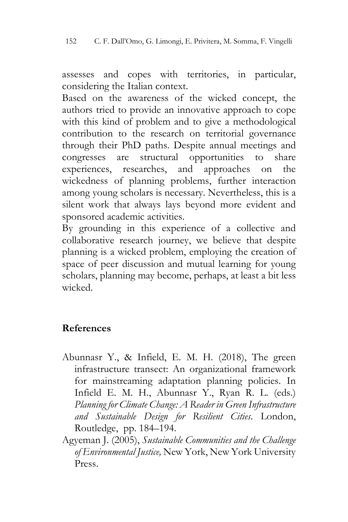assesses and copes with territories, in particular, considering the Italian context.

Based on the awareness of the wicked concept, the authors tried to provide an innovative approach to cope with this kind of problem and to give a methodological contribution to the research on territorial governance through their PhD paths. Despite annual meetings and congresses are structural opportunities to share experiences, researches, and approaches on the wickedness of planning problems, further interaction among young scholars is necessary. Nevertheless, this is a silent work that always lays beyond more evident and sponsored academic activities.

By grounding in this experience of a collective and collaborative research journey, we believe that despite planning is a wicked problem, employing the creation of space of peer discussion and mutual learning for young scholars, planning may become, perhaps, at least a bit less wicked.

# **References**

- Abunnasr Y., & Infield, E. M. H. (2018), The green infrastructure transect: An organizational framework for mainstreaming adaptation planning policies. In Infield E. M. H., Abunnasr Y., Ryan R. L. (eds.) *Planning for Climate Change: A Reader in Green Infrastructure and Sustainable Design for Resilient Cities*. London, Routledge, pp. 184–194.
- Agyeman J. (2005), *Sustainable Communities and the Challenge of Environmental Justice,* New York, New York University Press.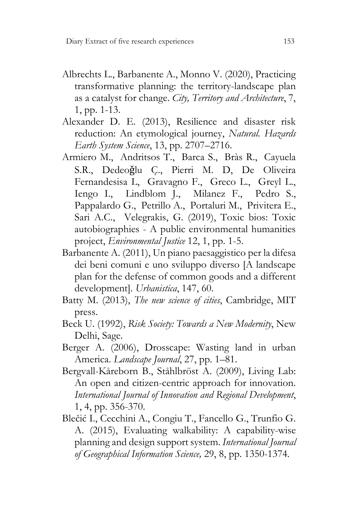- Albrechts L., Barbanente A., Monno V. (2020), Practicing transformative planning: the territory-landscape plan as a catalyst for change. *City, Territory and Architecture*, 7, 1, pp. 1-13.
- Alexander D. E. (2013), Resilience and disaster risk reduction: An etymological journey, *Natural. Hazards Earth System Science*, 13, pp. 2707–2716.
- Armiero M., Andritsos T., Barca S., Bràs R., Cayuela S.R., Dedeoǧlu Ç., Pierri M. D, De Oliveira Fernandesisa L, Gravagno F., Greco L., Greyl L., Iengo I., Lindblom J., Milanez F., Pedro S., Pappalardo G., Petrillo A., Portaluri M., Privitera E., Sari A.C., Velegrakis, G. (2019), Toxic bios: Toxic autobiographies - A public environmental humanities project, *Environmental Justice* 12, 1, pp. 1-5.
- Barbanente A. (2011), Un piano paesaggistico per la difesa dei beni comuni e uno sviluppo diverso [A landscape plan for the defense of common goods and a different development]. *Urbanistica*, 147, 60.
- Batty M. (2013), *The new science of cities*, Cambridge, MIT press.
- Beck U. (1992), *Risk Society: Towards a New Modernity*, New Delhi, Sage.
- Berger A. (2006), Drosscape: Wasting land in urban America. *Landscape Journal*, 27, pp. 1–81.
- Bergvall-Kåreborn B., Ståhlbröst A. (2009), Living Lab: An open and citizen-centric approach for innovation. *International Journal of Innovation and Regional Development*, 1, 4, pp. 356-370.
- Blečić I., Cecchini A., Congiu T., Fancello G., Trunfio G. A. (2015), Evaluating walkability: A capability-wise planning and design support system. *International Journal of Geographical Information Science,* 29, 8, pp. 1350-1374.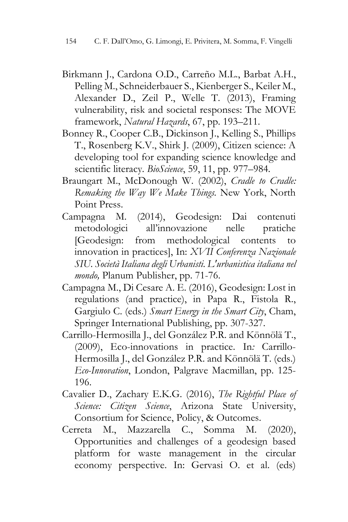- Birkmann J., Cardona O.D., Carreño M.L., Barbat A.H., Pelling M., Schneiderbauer S., Kienberger S., Keiler M., Alexander D., Zeil P., Welle T. (2013), Framing vulnerability, risk and societal responses: The MOVE framework, *Natural Hazards*, 67, pp. 193–211.
- Bonney R., Cooper C.B., Dickinson J., Kelling S., Phillips T., Rosenberg K.V., Shirk J. (2009), Citizen science: A developing tool for expanding science knowledge and scientific literacy. *BioScience*, 59, 11, pp. 977–984.
- Braungart M., McDonough W. (2002), *Cradle to Cradle: Remaking the Way We Make Things.* New York, North Point Press.
- Campagna M. (2014), Geodesign: Dai contenuti metodologici all'innovazione nelle pratiche [Geodesign: from methodological contents to innovation in practices], In: *XVII Conferenza Nazionale SIU. Società Italiana degli Urbanisti. L'urbanistica italiana nel mondo,* Planum Publisher, pp. 71-76.
- Campagna M., Di Cesare A. E. (2016), Geodesign: Lost in regulations (and practice), in Papa R., Fistola R., Gargiulo C. (eds.) *Smart Energy in the Smart City*, Cham, Springer International Publishing, pp. 307-327.
- Carrillo-Hermosilla J., del González P.R. and Könnölä T., (2009), Eco-innovations in practice. In*:* Carrillo-Hermosilla J., del González P.R. and Könnölä T. (eds.) *Eco-Innovation*, London, Palgrave Macmillan, pp. 125- 196.
- Cavalier D., Zachary E.K.G. (2016), *The Rightful Place of Science: Citizen Science*, Arizona State University, Consortium for Science, Policy, & Outcomes.
- Cerreta M., Mazzarella C., Somma M. (2020), Opportunities and challenges of a geodesign based platform for waste management in the circular economy perspective. In: Gervasi O. et al. (eds)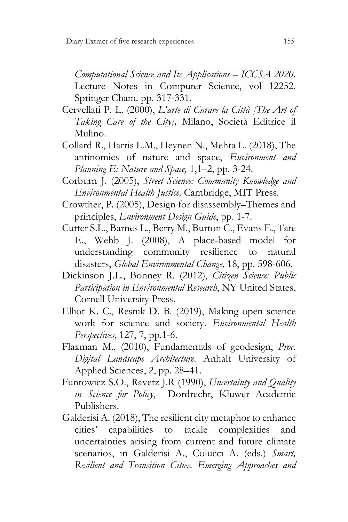*Computational Science and Its Applications – ICCSA 2020*. Lecture Notes in Computer Science, vol 12252. Springer Cham. pp. 317-331.

- Cervellati P. L. (2000), *L'arte di Curare la Città [The Art of Taking Care of the City],* Milano, Società Editrice il Mulino.
- Collard R., Harris L.M., Heynen N., Mehta L. (2018), The antinomies of nature and space, *Environment and Planning E: Nature and Space,* 1,1–2, pp. 3-24.
- Corburn J. (2005), *Street Science: Community Knowledge and Environmental Health Justice,* Cambridge, MIT Press.
- Crowther, P. (2005), Design for disassembly–Themes and principles, *Environment Design Guide*, pp. 1-7.
- Cutter S.L., Barnes L., Berry M., Burton C., Evans E., Tate E., Webb J. (2008), A place-based model for understanding community resilience to natural disasters, *Global Environmental Change,* 18, pp. 598-606.
- Dickinson J.L., Bonney R. (2012), *Citizen Science: Public Participation in Environmental Research*, NY United States, Cornell University Press.
- Elliot K. C., Resnik D. B. (2019), Making open science work for science and society. *Environmental Health Perspectives*, 127, 7, pp.1-6.
- Flaxman M., (2010), Fundamentals of geodesign, *Proc. Digital Landscape Architecture*. Anhalt University of Applied Sciences, 2, pp. 28–41.
- Funtowicz S.O., Ravetz J.R (1990), *Uncertainty and Quality in Science for Policy*, Dordrecht, Kluwer Academic Publishers.
- Galderisi A. (2018), The resilient city metaphor to enhance cities' capabilities to tackle complexities and uncertainties arising from current and future climate scenarios, in Galderisi A., Colucci A. (eds.) *Smart, Resilient and Transition Cities. Emerging Approaches and*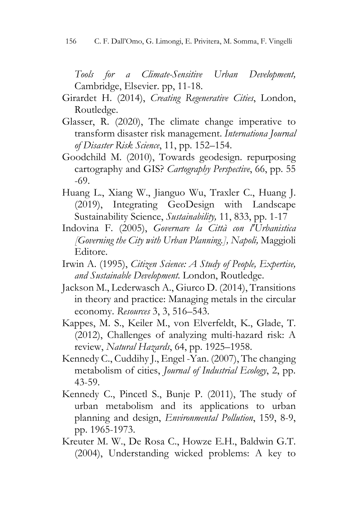*Tools for a Climate-Sensitive Urban Development,* Cambridge, Elsevier. pp, 11-18.

- Girardet H. (2014), *Creating Regenerative Cities*, London, Routledge.
- Glasser, R. (2020), The climate change imperative to transform disaster risk management. *Internationa Journal of Disaster Risk Science*, 11, pp. 152–154.
- Goodchild M. (2010), Towards geodesign. repurposing cartography and GIS? *Cartography Perspective*, 66, pp. 55 -69.
- Huang L., Xiang W., Jianguo Wu, Traxler C., Huang J. (2019), Integrating GeoDesign with Landscape Sustainability Science, *Sustainability,* 11, 833, pp. 1-17
- Indovina F. (2005), *Governare la Città con l'Urbanistica [Governing the City with Urban Planning.], Napoli,* Maggioli Editore.
- Irwin A. (1995), *Citizen Science: A Study of People, Expertise, and Sustainable Development.* London, Routledge.
- Jackson M., Lederwasch A., Giurco D. (2014), Transitions in theory and practice: Managing metals in the circular economy. *Resources* 3, 3, 516–543.
- Kappes, M. S., Keiler M., von Elverfeldt, K., Glade, T. (2012), Challenges of analyzing multi-hazard risk: A review, *Natural Hazards*, 64, pp. 1925–1958.
- Kennedy C., Cuddihy J., Engel -Yan. (2007), The changing metabolism of cities, *Journal of Industrial Ecology*, 2, pp. 43-59.
- Kennedy C., Pincetl S., Bunje P. (2011), The study of urban metabolism and its applications to urban planning and design, *Environmental Pollution*, 159, 8-9, pp. 1965-1973.
- Kreuter M. W., De Rosa C., Howze E.H., Baldwin G.T. (2004), Understanding wicked problems: A key to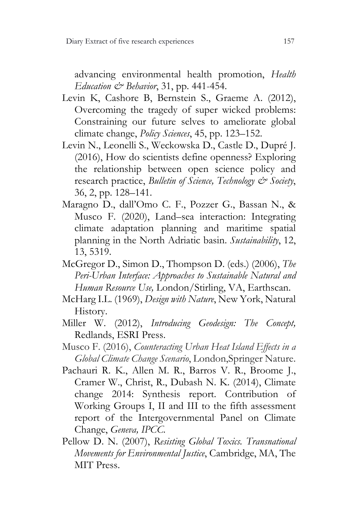advancing environmental health promotion, *Health Education & Behavior*, 31, pp. 441-454.

- Levin K, Cashore B, Bernstein S., Graeme A. (2012), Overcoming the tragedy of super wicked problems: Constraining our future selves to ameliorate global climate change, *Policy Sciences*, 45, pp. 123–152.
- Levin N., Leonelli S., Weckowska D., Castle D., Dupré J. (2016), How do scientists define openness? Exploring the relationship between open science policy and research practice, *Bulletin of Science, Technology & Society*, 36, 2, pp. 128–141.
- Maragno D., dall'Omo C. F., Pozzer G., Bassan N., & Musco F. (2020), Land–sea interaction: Integrating climate adaptation planning and maritime spatial planning in the North Adriatic basin. *Sustainability*, 12, 13, 5319.
- McGregor D., Simon D., Thompson D. (eds.) (2006), *The Peri-Urban Interface: Approaches to Sustainable Natural and Human Resource Use,* London/Stirling, VA, Earthscan.
- McHarg I.L. (1969), *Design with Nature*, New York, Natural History.
- Miller W. (2012), *Introducing Geodesign: The Concept,*  Redlands, ESRI Press.
- Musco F. (2016), *Counteracting Urban Heat Island Effects in a Global Climate Change Scenario*, London,Springer Nature.
- Pachauri R. K., Allen M. R., Barros V. R., Broome J., Cramer W., Christ, R., Dubash N. K. (2014), Climate change 2014: Synthesis report. Contribution of Working Groups I, II and III to the fifth assessment report of the Intergovernmental Panel on Climate Change, *Geneva, IPCC.*
- Pellow D. N. (2007), *Resisting Global Toxics. Transnational Movements for Environmental Justice*, Cambridge, MA, The MIT Press.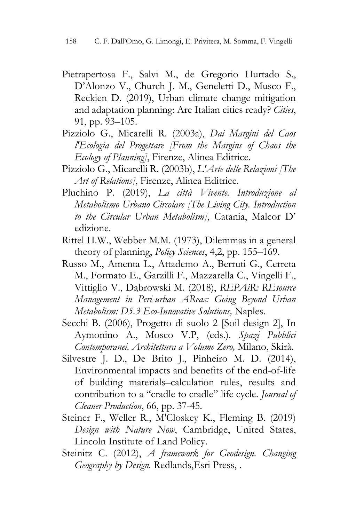- Pietrapertosa F., Salvi M., de Gregorio Hurtado S., D'Alonzo V., Church J. M., Geneletti D., Musco F., Reckien D. (2019), Urban climate change mitigation and adaptation planning: Are Italian cities ready? *Cities*, 91, pp. 93–105.
- Pizziolo G., Micarelli R. (2003a), *Dai Margini del Caos l'Ecologia del Progettare [From the Margins of Chaos the Ecology of Planning]*, Firenze, Alinea Editrice.
- Pizziolo G., Micarelli R. (2003b), *L'Arte delle Relazioni [The Art of Relations]*, Firenze, Alinea Editrice.
- Pluchino P. (2019), *La città Vivente. Introduzione al Metabolismo Urbano Circolare [The Living City. Introduction to the Circular Urban Metabolism]*, Catania, Malcor D' edizione.
- Rittel H.W., Webber M.M. (1973), Dilemmas in a general theory of planning, *Policy Sciences*, 4,2, pp. 155–169.
- Russo M., Amenta L., Attademo A., Berruti G., Cerreta M., Formato E., Garzilli F., Mazzarella C., Vingelli F., Vittiglio V., Dąbrowski M. (2018), *REPAiR: REsource Management in Peri-urban AReas: Going Beyond Urban Metabolism: D5.3 Eco-Innovative Solutions,* Naples*.*
- Secchi B. (2006), Progetto di suolo 2 [Soil design 2], In Aymonino A., Mosco V.P, (eds.). *Spazi Pubblici Contemporanei. Architettura a Volume Zero,* Milano, Skirà.
- Silvestre J. D., De Brito J., Pinheiro M. D. (2014), Environmental impacts and benefits of the end-of-life of building materials–calculation rules, results and contribution to a "cradle to cradle" life cycle. *Journal of Cleaner Production*, 66, pp. 37-45.
- Steiner F., Weller R., M'Closkey K., Fleming B. (2019) *Design with Nature Now*, Cambridge, United States, Lincoln Institute of Land Policy.
- Steinitz C. (2012), *A framework for Geodesign. Changing Geography by Design.* Redlands,Esri Press, .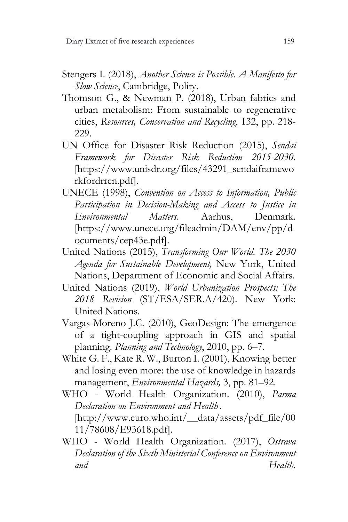- Stengers I. (2018), *Another Science is Possible. A Manifesto for Slow Science*, Cambridge, Polity.
- Thomson G., & Newman P. (2018), Urban fabrics and urban metabolism: From sustainable to regenerative cities, *Resources, Conservation and Recycling*, 132, pp. 218- 229.
- UN Office for Disaster Risk Reduction (2015), *Sendai Framework for Disaster Risk Reduction 2015-2030*. [https://www.unisdr.org/files/43291\_sendaiframewo rkfordrren.pdf].
- UNECE (1998), *Convention on Access to Information, Public Participation in Decision-Making and Access to Justice in Environmental Matters*. Aarhus, Denmark. [https://www.unece.org/fileadmin/DAM/env/pp/d ocuments/cep43e.pdf].
- United Nations (2015), *Transforming Our World. The 2030 Agenda for Sustainable Development,* New York, United Nations, Department of Economic and Social Affairs.
- United Nations (2019), *World Urbanization Prospects: The 2018 Revision* (ST/ESA/SER.A/420). New York: United Nations.
- Vargas-Moreno J.C. (2010), GeoDesign: The emergence of a tight-coupling approach in GIS and spatial planning. *Planning and Technology*, 2010, pp. 6–7.
- White G. F., Kate R. W., Burton I. (2001), Knowing better and losing even more: the use of knowledge in hazards management, *Environmental Hazards,* 3, pp. 81–92.
- WHO World Health Organization. (2010), *Parma Declaration on Environment and Health .* [http://www.euro.who.int/\_\_data/assets/pdf\_file/00 11/78608/E93618.pdf].
- WHO World Health Organization. (2017), *Ostrava Declaration of the Sixth Ministerial Conference on Environment and Health*.